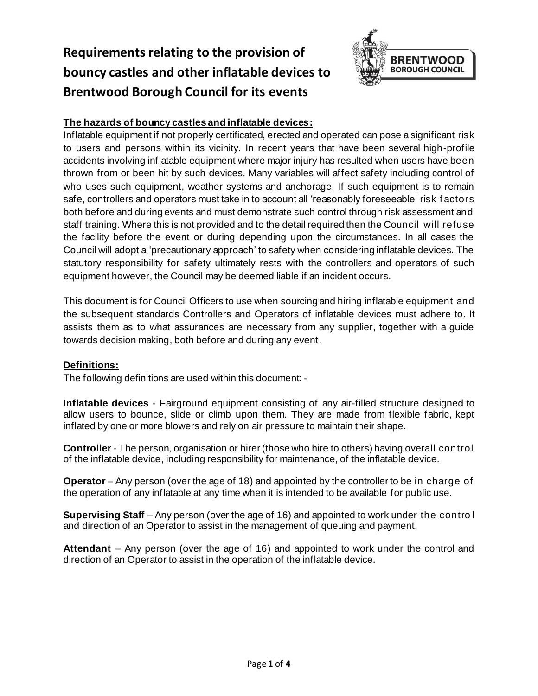# **Requirements relating to the provision of bouncy castles and other inflatable devices to Brentwood Borough Council for its events**



# **The hazards of bouncy castles and inflatable devices:**

Inflatable equipment if not properly certificated, erected and operated can pose a significant risk to users and persons within its vicinity. In recent years that have been several high-profile accidents involving inflatable equipment where major injury has resulted when users have been thrown from or been hit by such devices. Many variables will affect safety including control of who uses such equipment, weather systems and anchorage. If such equipment is to remain safe, controllers and operators must take in to account all 'reasonably foreseeable' risk f actors both before and during events and must demonstrate such control through risk assessment and staff training. Where this is not provided and to the detail required then the Council will refuse the facility before the event or during depending upon the circumstances. In all cases the Council will adopt a 'precautionary approach' to safety when considering inflatable devices. The statutory responsibility for safety ultimately rests with the controllers and operators of such equipment however, the Council may be deemed liable if an incident occurs.

This document is for Council Officers to use when sourcing and hiring inflatable equipment and the subsequent standards Controllers and Operators of inflatable devices must adhere to. It assists them as to what assurances are necessary from any supplier, together with a guide towards decision making, both before and during any event.

### **Definitions:**

The following definitions are used within this document: -

**Inflatable devices** - Fairground equipment consisting of any air-filled structure designed to allow users to bounce, slide or climb upon them. They are made from flexible fabric, kept inflated by one or more blowers and rely on air pressure to maintain their shape.

**Controller** - The person, organisation or hirer (those who hire to others) having overall control of the inflatable device, including responsibility for maintenance, of the inflatable device.

**Operator** – Any person (over the age of 18) and appointed by the controller to be in charge of the operation of any inflatable at any time when it is intended to be available for public use.

**Supervising Staff** – Any person (over the age of 16) and appointed to work under the contro l and direction of an Operator to assist in the management of queuing and payment.

**Attendant** – Any person (over the age of 16) and appointed to work under the control and direction of an Operator to assist in the operation of the inflatable device.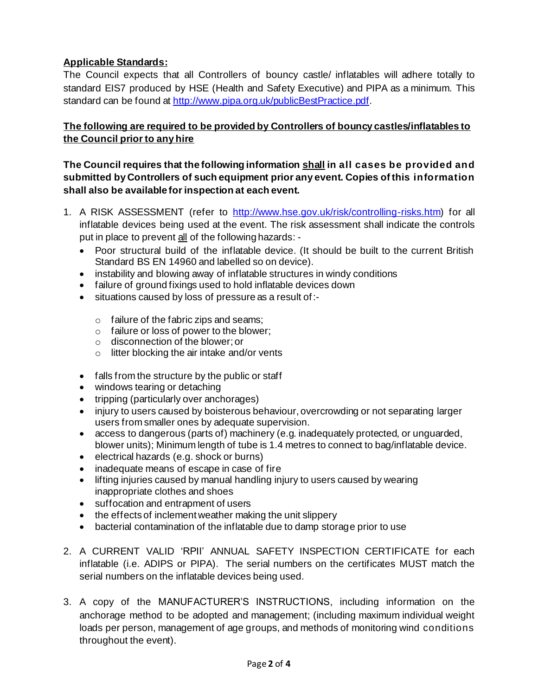# **Applicable Standards:**

The Council expects that all Controllers of bouncy castle/ inflatables will adhere totally to standard EIS7 produced by HSE (Health and Safety Executive) and PIPA as a minimum. This standard can be found at<http://www.pipa.org.uk/publicBestPractice.pdf>.

# **The following are required to be provided by Controllers of bouncy castles/inflatables to the Council prior to any hire**

## **The Council requires that the following information shall in all cases be provided and submitted by Controllers of such equipment prior any event. Copies of this information shall also be available for inspection at each event.**

- 1. A RISK ASSESSMENT (refer to <http://www.hse.gov.uk/risk/controlling-risks.htm>) for all inflatable devices being used at the event. The risk assessment shall indicate the controls put in place to prevent all of the following hazards: -
	- Poor structural build of the inflatable device. (It should be built to the current British Standard BS EN 14960 and labelled so on device).
	- instability and blowing away of inflatable structures in windy conditions
	- failure of ground fixings used to hold inflatable devices down
	- situations caused by loss of pressure as a result of :-
		- $\circ$  failure of the fabric zips and seams;
		- o failure or loss of power to the blower;
		- o disconnection of the blower; or
		- o litter blocking the air intake and/or vents
	- falls from the structure by the public or staff
	- windows tearing or detaching
	- tripping (particularly over anchorages)
	- injury to users caused by boisterous behaviour, overcrowding or not separating larger users from smaller ones by adequate supervision.
	- access to dangerous (parts of) machinery (e.g. inadequately protected, or unguarded, blower units); Minimum length of tube is 1.4 metres to connect to bag/inflatable device.
	- electrical hazards (e.g. shock or burns)
	- inadequate means of escape in case of fire
	- lifting injuries caused by manual handling injury to users caused by wearing inappropriate clothes and shoes
	- suffocation and entrapment of users
	- the effects of inclement weather making the unit slippery
	- bacterial contamination of the inflatable due to damp storage prior to use
- 2. A CURRENT VALID 'RPII' ANNUAL SAFETY INSPECTION CERTIFICATE for each inflatable (i.e. ADIPS or PIPA). The serial numbers on the certificates MUST match the serial numbers on the inflatable devices being used.
- 3. A copy of the MANUFACTURER'S INSTRUCTIONS, including information on the anchorage method to be adopted and management; (including maximum individual weight loads per person, management of age groups, and methods of monitoring wind conditions throughout the event).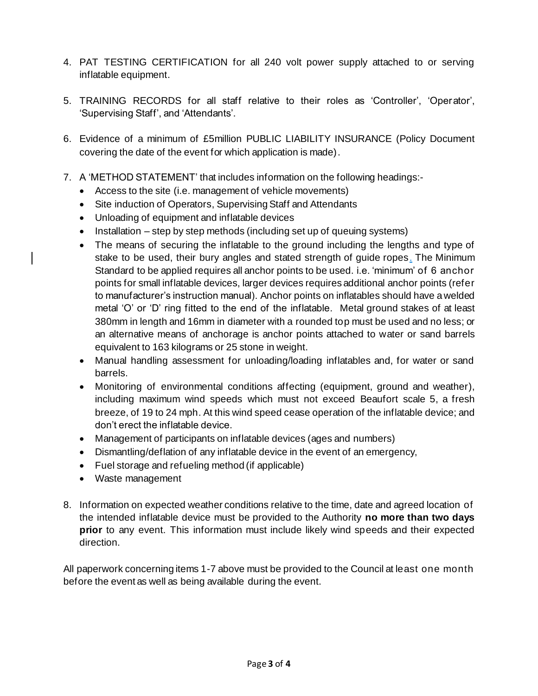- 4. PAT TESTING CERTIFICATION for all 240 volt power supply attached to or serving inflatable equipment.
- 5. TRAINING RECORDS for all staff relative to their roles as 'Controller', 'Operator', 'Supervising Staff', and 'Attendants'.
- 6. Evidence of a minimum of £5million PUBLIC LIABILITY INSURANCE (Policy Document covering the date of the event for which application is made).
- 7. A 'METHOD STATEMENT' that includes information on the following headings:-
	- Access to the site (i.e. management of vehicle movements)
	- Site induction of Operators, Supervising Staff and Attendants
	- Unloading of equipment and inflatable devices
	- Installation step by step methods (including set up of queuing systems)
	- The means of securing the inflatable to the ground including the lengths and type of stake to be used, their bury angles and stated strength of guide ropes. The Minimum Standard to be applied requires all anchor points to be used. i.e. 'minimum' of 6 anchor points for small inflatable devices, larger devices requires additional anchor points (refer to manufacturer's instruction manual). Anchor points on inflatables should have a welded metal 'O' or 'D' ring fitted to the end of the inflatable. Metal ground stakes of at least 380mm in length and 16mm in diameter with a rounded top must be used and no less; or an alternative means of anchorage is anchor points attached to water or sand barrels equivalent to 163 kilograms or 25 stone in weight.
	- Manual handling assessment for unloading/loading inflatables and, for water or sand barrels.
	- Monitoring of environmental conditions affecting (equipment, ground and weather), including maximum wind speeds which must not exceed Beaufort scale 5, a fresh breeze, of 19 to 24 mph. At this wind speed cease operation of the inflatable device; and don't erect the inflatable device.
	- Management of participants on inflatable devices (ages and numbers)
	- Dismantling/deflation of any inflatable device in the event of an emergency,
	- Fuel storage and refueling method (if applicable)
	- Waste management
- 8. Information on expected weather conditions relative to the time, date and agreed location of the intended inflatable device must be provided to the Authority **no more than two days prior** to any event. This information must include likely wind speeds and their expected direction.

All paperwork concerning items 1-7 above must be provided to the Council at least one month before the event as well as being available during the event.